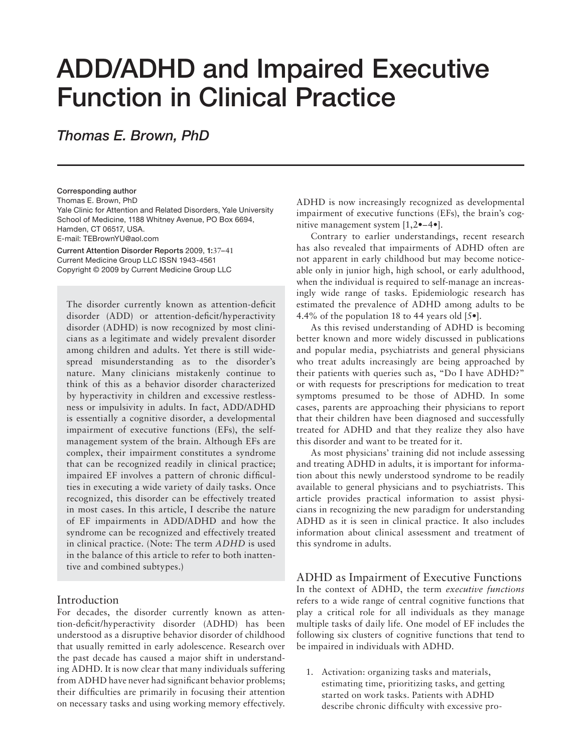# **ADD/ADHD and Impaired Executive Function in Clinical Practice**

*Thomas E. Brown, PhD*

**Corresponding author**

Thomas E. Brown, PhD

Yale Clinic for Attention and Related Disorders, Yale University School of Medicine, 1188 Whitney Avenue, PO Box 6694, Hamden, CT 06517, USA. E-mail: TEBrownYU@aol.com

**Current Attention Disorder Reports** 2009, **1:**37–41 Current Medicine Group LLC ISSN 1943-4561 Copyright © 2009 by Current Medicine Group LLC

The disorder currently known as attention-deficit disorder (ADD) or attention-deficit/hyperactivity disorder (ADHD) is now recognized by most clinicians as a legitimate and widely prevalent disorder among children and adults. Yet there is still widespread misunderstanding as to the disorder's nature. Many clinicians mistakenly continue to think of this as a behavior disorder characterized by hyperactivity in children and excessive restlessness or impulsivity in adults. In fact, ADD/ADHD is essentially a cognitive disorder, a developmental impairment of executive functions (EFs), the selfmanagement system of the brain. Although EFs are complex, their impairment constitutes a syndrome that can be recognized readily in clinical practice; impaired EF involves a pattern of chronic difficulties in executing a wide variety of daily tasks. Once recognized, this disorder can be effectively treated in most cases. In this article, I describe the nature of EF impairments in ADD/ADHD and how the syndrome can be recognized and effectively treated in clinical practice. (Note: The term *ADHD* is used in the balance of this article to refer to both inattentive and combined subtypes.)

## Introduction

For decades, the disorder currently known as attention-deficit/hyperactivity disorder (ADHD) has been understood as a disruptive behavior disorder of childhood that usually remitted in early adolescence. Research over the past decade has caused a major shift in understanding ADHD. It is now clear that many individuals suffering from ADHD have never had significant behavior problems; their difficulties are primarily in focusing their attention on necessary tasks and using working memory effectively.

ADHD is now increasingly recognized as developmental impairment of executive functions (EFs), the brain's cognitive management system [1,2•–4•].

Contrary to earlier understandings, recent research has also revealed that impairments of ADHD often are not apparent in early childhood but may become noticeable only in junior high, high school, or early adulthood, when the individual is required to self-manage an increasingly wide range of tasks. Epidemiologic research has estimated the prevalence of ADHD among adults to be 4.4% of the population 18 to 44 years old [5•].

As this revised understanding of ADHD is becoming better known and more widely discussed in publications and popular media, psychiatrists and general physicians who treat adults increasingly are being approached by their patients with queries such as, "Do I have ADHD?" or with requests for prescriptions for medication to treat symptoms presumed to be those of ADHD. In some cases, parents are approaching their physicians to report that their children have been diagnosed and successfully treated for ADHD and that they realize they also have this disorder and want to be treated for it.

As most physicians' training did not include assessing and treating ADHD in adults, it is important for information about this newly understood syndrome to be readily available to general physicians and to psychiatrists. This article provides practical information to assist physicians in recognizing the new paradigm for understanding ADHD as it is seen in clinical practice. It also includes information about clinical assessment and treatment of this syndrome in adults.

ADHD as Impairment of Executive Functions In the context of ADHD, the term *executive functions* refers to a wide range of central cognitive functions that play a critical role for all individuals as they manage multiple tasks of daily life. One model of EF includes the following six clusters of cognitive functions that tend to be impaired in individuals with ADHD.

1. Activation: organizing tasks and materials, estimating time, prioritizing tasks, and getting started on work tasks. Patients with ADHD describe chronic difficulty with excessive pro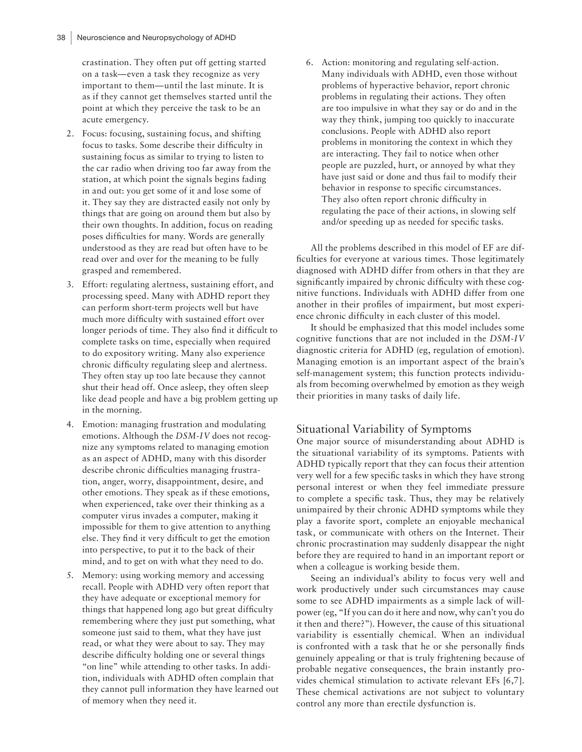crastination. They often put off getting started on a task—even a task they recognize as very important to them—until the last minute. It is as if they cannot get themselves started until the point at which they perceive the task to be an acute emergency.

- 2. Focus: focusing, sustaining focus, and shifting focus to tasks. Some describe their difficulty in sustaining focus as similar to trying to listen to the car radio when driving too far away from the station, at which point the signals begins fading in and out: you get some of it and lose some of it. They say they are distracted easily not only by things that are going on around them but also by their own thoughts. In addition, focus on reading poses difficulties for many. Words are generally understood as they are read but often have to be read over and over for the meaning to be fully grasped and remembered.
- 3. Effort: regulating alertness, sustaining effort, and processing speed. Many with ADHD report they can perform short-term projects well but have much more difficulty with sustained effort over longer periods of time. They also find it difficult to complete tasks on time, especially when required to do expository writing. Many also experience chronic difficulty regulating sleep and alertness. They often stay up too late because they cannot shut their head off. Once asleep, they often sleep like dead people and have a big problem getting up in the morning.
- 4. Emotion: managing frustration and modulating emotions. Although the *DSM-IV* does not recognize any symptoms related to managing emotion as an aspect of ADHD, many with this disorder describe chronic difficulties managing frustration, anger, worry, disappointment, desire, and other emotions. They speak as if these emotions, when experienced, take over their thinking as a computer virus invades a computer, making it impossible for them to give attention to anything else. They find it very difficult to get the emotion into perspective, to put it to the back of their mind, and to get on with what they need to do.
- 5. Memory: using working memory and accessing recall. People with ADHD very often report that they have adequate or exceptional memory for things that happened long ago but great difficulty remembering where they just put something, what someone just said to them, what they have just read, or what they were about to say. They may describe difficulty holding one or several things "on line" while attending to other tasks. In addition, individuals with ADHD often complain that they cannot pull information they have learned out of memory when they need it.

6. Action: monitoring and regulating self-action. Many individuals with ADHD, even those without problems of hyperactive behavior, report chronic problems in regulating their actions. They often are too impulsive in what they say or do and in the way they think, jumping too quickly to inaccurate conclusions. People with ADHD also report problems in monitoring the context in which they are interacting. They fail to notice when other people are puzzled, hurt, or annoyed by what they have just said or done and thus fail to modify their behavior in response to specific circumstances. They also often report chronic difficulty in regulating the pace of their actions, in slowing self and/or speeding up as needed for specific tasks.

All the problems described in this model of EF are difficulties for everyone at various times. Those legitimately diagnosed with ADHD differ from others in that they are significantly impaired by chronic difficulty with these cognitive functions. Individuals with ADHD differ from one another in their profiles of impairment, but most experience chronic difficulty in each cluster of this model.

It should be emphasized that this model includes some cognitive functions that are not included in the *DSM-IV* diagnostic criteria for ADHD (eg, regulation of emotion). Managing emotion is an important aspect of the brain's self-management system; this function protects individuals from becoming overwhelmed by emotion as they weigh their priorities in many tasks of daily life.

# Situational Variability of Symptoms

One major source of misunderstanding about ADHD is the situational variability of its symptoms. Patients with ADHD typically report that they can focus their attention very well for a few specific tasks in which they have strong personal interest or when they feel immediate pressure to complete a specific task. Thus, they may be relatively unimpaired by their chronic ADHD symptoms while they play a favorite sport, complete an enjoyable mechanical task, or communicate with others on the Internet. Their chronic procrastination may suddenly disappear the night before they are required to hand in an important report or when a colleague is working beside them.

Seeing an individual's ability to focus very well and work productively under such circumstances may cause some to see ADHD impairments as a simple lack of willpower (eg, "If you can do it here and now, why can't you do it then and there?"). However, the cause of this situational variability is essentially chemical. When an individual is confronted with a task that he or she personally finds genuinely appealing or that is truly frightening because of probable negative consequences, the brain instantly provides chemical stimulation to activate relevant EFs [6,7]. These chemical activations are not subject to voluntary control any more than erectile dysfunction is.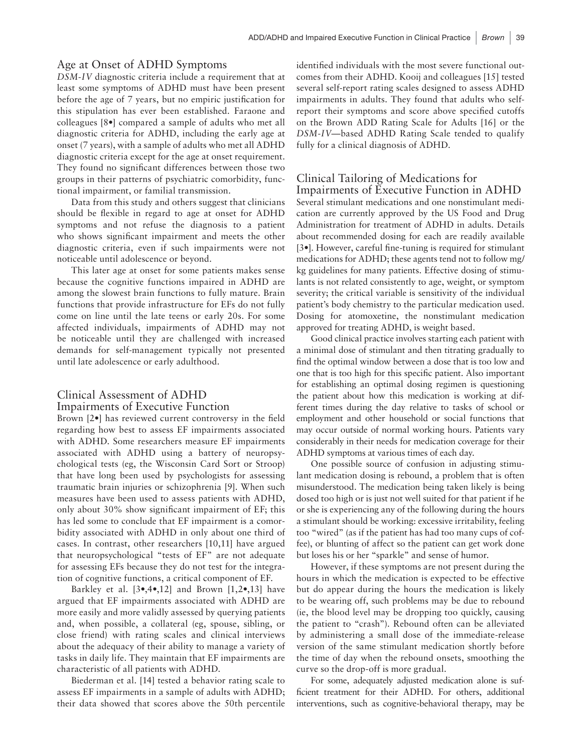### Age at Onset of ADHD Symptoms

*DSM-IV* diagnostic criteria include a requirement that at least some symptoms of ADHD must have been present before the age of 7 years, but no empiric justification for this stipulation has ever been established. Faraone and colleagues [8•] compared a sample of adults who met all diagnostic criteria for ADHD, including the early age at onset (7 years), with a sample of adults who met all ADHD diagnostic criteria except for the age at onset requirement. They found no significant differences between those two groups in their patterns of psychiatric comorbidity, functional impairment, or familial transmission.

Data from this study and others suggest that clinicians should be flexible in regard to age at onset for ADHD symptoms and not refuse the diagnosis to a patient who shows significant impairment and meets the other diagnostic criteria, even if such impairments were not noticeable until adolescence or beyond.

This later age at onset for some patients makes sense because the cognitive functions impaired in ADHD are among the slowest brain functions to fully mature. Brain functions that provide infrastructure for EFs do not fully come on line until the late teens or early 20s. For some affected individuals, impairments of ADHD may not be noticeable until they are challenged with increased demands for self-management typically not presented until late adolescence or early adulthood.

# Clinical Assessment of ADHD Impairments of Executive Function

Brown [2•] has reviewed current controversy in the field regarding how best to assess EF impairments associated with ADHD. Some researchers measure EF impairments associated with ADHD using a battery of neuropsychological tests (eg, the Wisconsin Card Sort or Stroop) that have long been used by psychologists for assessing traumatic brain injuries or schizophrenia [9]. When such measures have been used to assess patients with ADHD, only about 30% show significant impairment of EF; this has led some to conclude that EF impairment is a comorbidity associated with ADHD in only about one third of cases. In contrast, other researchers [10,11] have argued that neuropsychological "tests of EF" are not adequate for assessing EFs because they do not test for the integration of cognitive functions, a critical component of EF.

Barkley et al.  $[3\bullet, 4\bullet, 12]$  and Brown  $[1, 2\bullet, 13]$  have argued that EF impairments associated with ADHD are more easily and more validly assessed by querying patients and, when possible, a collateral (eg, spouse, sibling, or close friend) with rating scales and clinical interviews about the adequacy of their ability to manage a variety of tasks in daily life. They maintain that EF impairments are characteristic of all patients with ADHD.

Biederman et al. [14] tested a behavior rating scale to assess EF impairments in a sample of adults with ADHD; their data showed that scores above the 50th percentile

identified individuals with the most severe functional outcomes from their ADHD. Kooij and colleagues [15] tested several self-report rating scales designed to assess ADHD impairments in adults. They found that adults who selfreport their symptoms and score above specified cutoffs on the Brown ADD Rating Scale for Adults [16] or the *DSM-IV*—based ADHD Rating Scale tended to qualify fully for a clinical diagnosis of ADHD.

# Clinical Tailoring of Medications for Impairments of Executive Function in ADHD

Several stimulant medications and one nonstimulant medication are currently approved by the US Food and Drug Administration for treatment of ADHD in adults. Details about recommended dosing for each are readily available  $[3\bullet]$ . However, careful fine-tuning is required for stimulant medications for ADHD; these agents tend not to follow mg/ kg guidelines for many patients. Effective dosing of stimulants is not related consistently to age, weight, or symptom severity; the critical variable is sensitivity of the individual patient's body chemistry to the particular medication used. Dosing for atomoxetine, the nonstimulant medication approved for treating ADHD, is weight based.

Good clinical practice involves starting each patient with a minimal dose of stimulant and then titrating gradually to find the optimal window between a dose that is too low and one that is too high for this specific patient. Also important for establishing an optimal dosing regimen is questioning the patient about how this medication is working at different times during the day relative to tasks of school or employment and other household or social functions that may occur outside of normal working hours. Patients vary considerably in their needs for medication coverage for their ADHD symptoms at various times of each day.

One possible source of confusion in adjusting stimulant medication dosing is rebound, a problem that is often misunderstood. The medication being taken likely is being dosed too high or is just not well suited for that patient if he or she is experiencing any of the following during the hours a stimulant should be working: excessive irritability, feeling too "wired" (as if the patient has had too many cups of coffee), or blunting of affect so the patient can get work done but loses his or her "sparkle" and sense of humor.

However, if these symptoms are not present during the hours in which the medication is expected to be effective but do appear during the hours the medication is likely to be wearing off, such problems may be due to rebound (ie, the blood level may be dropping too quickly, causing the patient to "crash"). Rebound often can be alleviated by administering a small dose of the immediate-release version of the same stimulant medication shortly before the time of day when the rebound onsets, smoothing the curve so the drop-off is more gradual.

For some, adequately adjusted medication alone is sufficient treatment for their ADHD. For others, additional interventions, such as cognitive-behavioral therapy, may be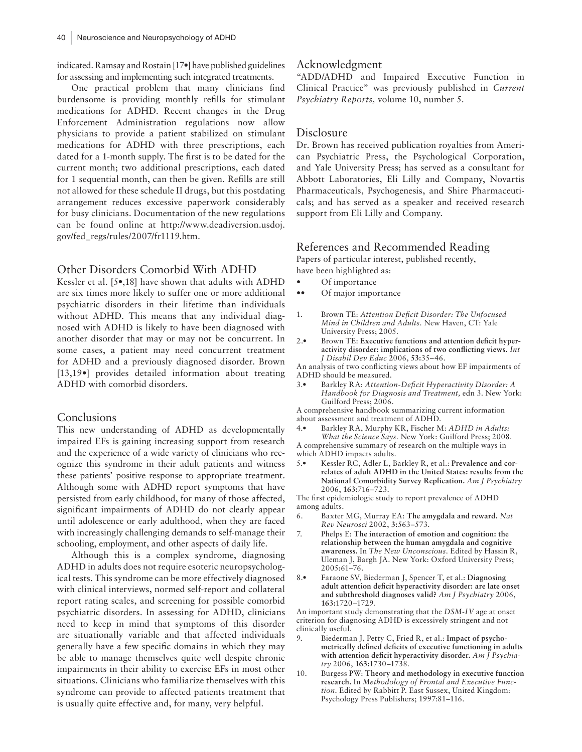indicated. Ramsay and Rostain [17•] have published guidelines for assessing and implementing such integrated treatments.

One practical problem that many clinicians find burdensome is providing monthly refills for stimulant medications for ADHD. Recent changes in the Drug Enforcement Administration regulations now allow physicians to provide a patient stabilized on stimulant medications for ADHD with three prescriptions, each dated for a 1-month supply. The first is to be dated for the current month; two additional prescriptions, each dated for 1 sequential month, can then be given. Refills are still not allowed for these schedule II drugs, but this postdating arrangement reduces excessive paperwork considerably for busy clinicians. Documentation of the new regulations can be found online at http://www.deadiversion.usdoj. gov/fed\_regs/rules/2007/fr1119.htm.

## Other Disorders Comorbid With ADHD

Kessler et al. [5•,18] have shown that adults with ADHD are six times more likely to suffer one or more additional psychiatric disorders in their lifetime than individuals without ADHD. This means that any individual diagnosed with ADHD is likely to have been diagnosed with another disorder that may or may not be concurrent. In some cases, a patient may need concurrent treatment for ADHD and a previously diagnosed disorder. Brown [13,19•] provides detailed information about treating ADHD with comorbid disorders.

#### **Conclusions**

This new understanding of ADHD as developmentally impaired EFs is gaining increasing support from research and the experience of a wide variety of clinicians who recognize this syndrome in their adult patients and witness these patients' positive response to appropriate treatment. Although some with ADHD report symptoms that have persisted from early childhood, for many of those affected, significant impairments of ADHD do not clearly appear until adolescence or early adulthood, when they are faced with increasingly challenging demands to self-manage their schooling, employment, and other aspects of daily life.

Although this is a complex syndrome, diagnosing ADHD in adults does not require esoteric neuropsychological tests. This syndrome can be more effectively diagnosed with clinical interviews, normed self-report and collateral report rating scales, and screening for possible comorbid psychiatric disorders. In assessing for ADHD, clinicians need to keep in mind that symptoms of this disorder are situationally variable and that affected individuals generally have a few specific domains in which they may be able to manage themselves quite well despite chronic impairments in their ability to exercise EFs in most other situations. Clinicians who familiarize themselves with this syndrome can provide to affected patients treatment that is usually quite effective and, for many, very helpful.

### Acknowledgment

"ADD/ADHD and Impaired Executive Function in Clinical Practice" was previously published in *Current Psychiatry Reports,* volume 10, number 5.

# Disclosure

Dr. Brown has received publication royalties from American Psychiatric Press, the Psychological Corporation, and Yale University Press; has served as a consultant for Abbott Laboratories, Eli Lilly and Company, Novartis Pharmaceuticals, Psychogenesis, and Shire Pharmaceuticals; and has served as a speaker and received research support from Eli Lilly and Company.

#### References and Recommended Reading

Papers of particular interest, published recently, have been highlighted as:

- Of importance
- •• Of major importance
- 1. Brown TE: Attention Deficit Disorder: The Unfocused *Mind in Children and Adults.* New Haven, CT: Yale University Press; 2005.
- 2.• Brown TE: Executive functions and attention deficit hyperactivity disorder: implications of two conflicting views. *Int J Disabil Dev Educ* 2006, **53:**35–46.

An analysis of two conflicting views about how EF impairments of ADHD should be measured.

3.• Barkley RA: *Attention-Deficit Hyperactivity Disorder: A Handbook for Diagnosis and Treatment,* edn 3. New York: Guilford Press; 2006.

A comprehensive handbook summarizing current information about assessment and treatment of ADHD.

- 4.• Barkley RA, Murphy KR, Fischer M: *ADHD in Adults: What the Science Says.* New York: Guilford Press; 2008. A comprehensive summary of research on the multiple ways in which ADHD impacts adults.
- 5.• Kessler RC, Adler L, Barkley R, et al.: **Prevalence and correlates of adult ADHD in the United States: results from the National Comorbidity Survey Replication.** *Am J Psychiatry*  2006, **163:**716–723.

The first epidemiologic study to report prevalence of ADHD among adults.

- 6. Baxter MG, Murray EA: **The amygdala and reward.** *Nat Rev Neurosci* 2002, **3:**563–573.
- 7. Phelps E: **The interaction of emotion and cognition: the relationship between the human amygdala and cognitive awareness.** In *The New Unconscious.* Edited by Hassin R, Uleman J, Bargh JA. New York: Oxford University Press; 2005:61–76.
- 8.• Faraone SV, Biederman J, Spencer T, et al.: **Diagnosing**  adult attention deficit hyperactivity disorder: are late onset **and subthreshold diagnoses valid?** *Am J Psychiatry* 2006, **163:**1720–1729.

An important study demonstrating that the *DSM-IV* age at onset criterion for diagnosing ADHD is excessively stringent and not clinically useful.

- 9. Biederman J, Petty C, Fried R, et al.: **Impact of psycho**metrically defined deficits of executive functioning in adults with attention deficit hyperactivity disorder. Am J Psychia*try* 2006, **163:**1730–1738.
- 10. Burgess PW: **Theory and methodology in executive function research.** In *Methodology of Frontal and Executive Function.* Edited by Rabbitt P. East Sussex, United Kingdom: Psychology Press Publishers; 1997:81–116.